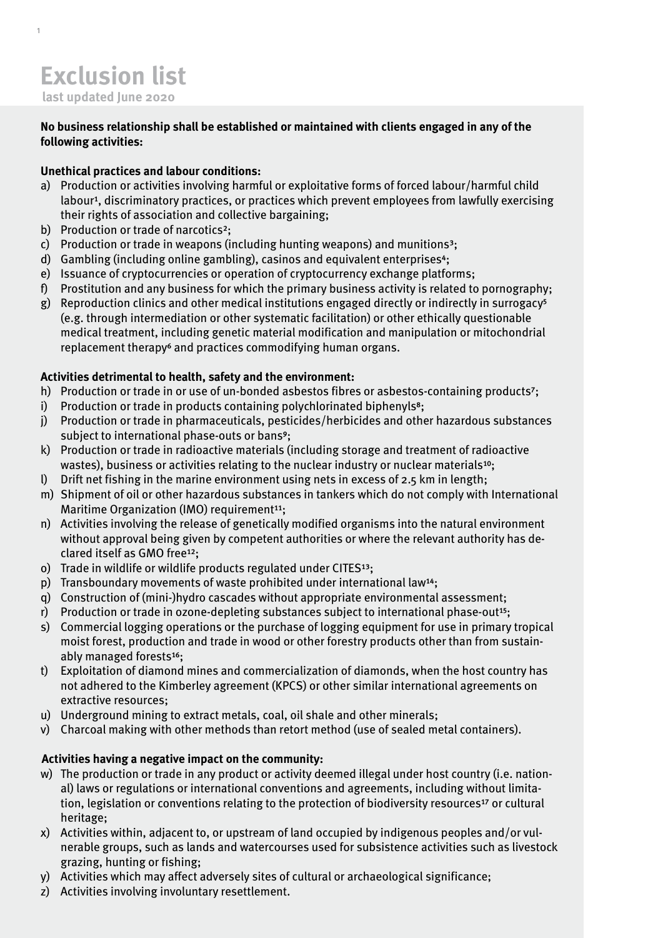1

### **No business relationship shall be established or maintained with clients engaged in any of the following activities:**

# **Unethical practices and labour conditions:**

- a) Production or activities involving harmful or exploitative forms of forced labour/harmful child labour<sup>1</sup>, discriminatory practices, or practices which prevent employees from lawfully exercising their rights of association and collective bargaining;
- b) Production or trade of narcotics<sup>2</sup>;
- c) Production or trade in weapons (including hunting weapons) and munitions<sup>3</sup>;
- d) Gambling (including online gambling), casinos and equivalent enterprises<sup>4</sup>;
- e) Issuance of cryptocurrencies or operation of cryptocurrency exchange platforms;
- f) Prostitution and any business for which the primary business activity is related to pornography;
- g) Reproduction clinics and other medical institutions engaged directly or indirectly in surrogacy<sup>5</sup> (e.g. through intermediation or other systematic facilitation) or other ethically questionable medical treatment, including genetic material modification and manipulation or mitochondrial replacement therapy<sup>6</sup> and practices commodifying human organs.

# **Activities detrimental to health, safety and the environment:**

- h) Production or trade in or use of un-bonded asbestos fibres or asbestos-containing products<sup>7</sup>;
- i) Production or trade in products containing polychlorinated biphenyls<sup>8</sup>;
- j) Production or trade in pharmaceuticals, pesticides/herbicides and other hazardous substances subject to international phase-outs or bans<sup>9</sup>;
- k) Production or trade in radioactive materials (including storage and treatment of radioactive wastes), business or activities relating to the nuclear industry or nuclear materials<sup>10</sup>;
- l) Drift net fishing in the marine environment using nets in excess of 2.5 km in length;
- m) Shipment of oil or other hazardous substances in tankers which do not comply with International Maritime Organization (IMO) requirement $11$ :
- n) Activities involving the release of genetically modified organisms into the natural environment without approval being given by competent authorities or where the relevant authority has declared itself as GMO free<sup>12</sup>;
- o) Trade in wildlife or wildlife products regulated under  $CISES<sup>13</sup>$ ;
- p) Transboundary movements of waste prohibited under international law<sup>14</sup>;
- q) Construction of (mini-)hydro cascades without appropriate environmental assessment;
- r) Production or trade in ozone-depleting substances subject to international phase-out<sup>15</sup>;
- s) Commercial logging operations or the purchase of logging equipment for use in primary tropical moist forest, production and trade in wood or other forestry products other than from sustainably managed forests<sup>16</sup>;
- t) Exploitation of diamond mines and commercialization of diamonds, when the host country has not adhered to the Kimberley agreement (KPCS) or other similar international agreements on extractive resources;
- u) Underground mining to extract metals, coal, oil shale and other minerals;
- v) Charcoal making with other methods than retort method (use of sealed metal containers).

## **Activities having a negative impact on the community:**

- w) The production or trade in any product or activity deemed illegal under host country (i.e. national) laws or regulations or international conventions and agreements, including without limitation, legislation or conventions relating to the protection of biodiversity resources<sup>17</sup> or cultural heritage;
- x) Activities within, adjacent to, or upstream of land occupied by indigenous peoples and/or vulnerable groups, such as lands and watercourses used for subsistence activities such as livestock grazing, hunting or fishing;
- y) Activities which may affect adversely sites of cultural or archaeological significance;
- z) Activities involving involuntary resettlement.